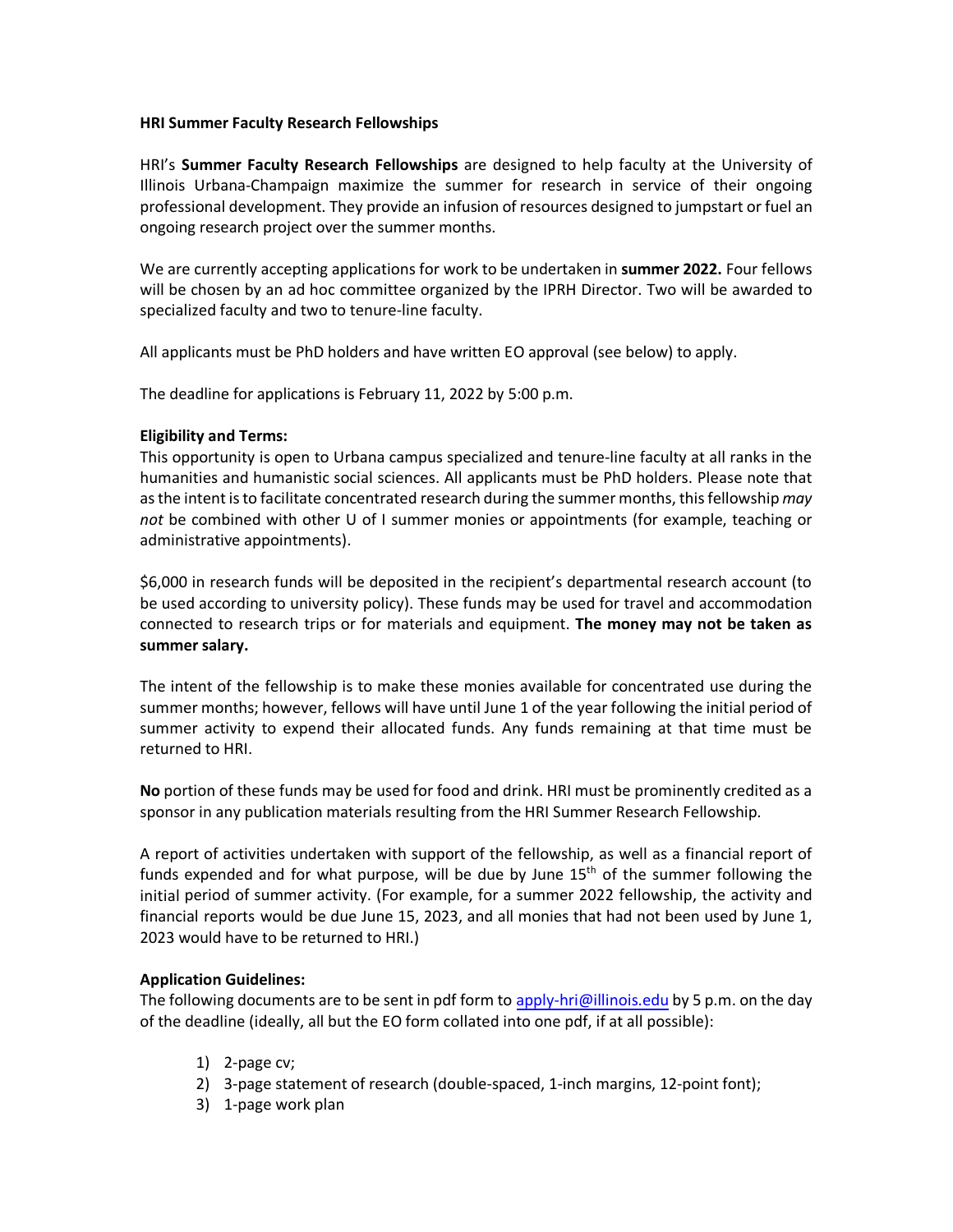### **HRI Summer Faculty Research Fellowships**

HRI's **Summer Faculty Research Fellowships** are designed to help faculty at the University of Illinois Urbana-Champaign maximize the summer for research in service of their ongoing professional development. They provide an infusion of resources designed to jumpstart or fuel an ongoing research project over the summer months.

We are currently accepting applications for work to be undertaken in **summer 2022.** Four fellows will be chosen by an ad hoc committee organized by the IPRH Director. Two will be awarded to specialized faculty and two to tenure-line faculty.

All applicants must be PhD holders and have written EO approval (see below) to apply.

The deadline for applications is February 11, 2022 by 5:00 p.m.

# **Eligibility and Terms:**

This opportunity is open to Urbana campus specialized and tenure-line faculty at all ranks in the humanities and humanistic social sciences. All applicants must be PhD holders. Please note that as the intent is to facilitate concentrated research during the summer months, this fellowship *may not* be combined with other U of I summer monies or appointments (for example, teaching or administrative appointments).

\$6,000 in research funds will be deposited in the recipient's departmental research account (to be used according to university policy). These funds may be used for travel and accommodation connected to research trips or for materials and equipment. **The money may not be taken as summer salary.** 

The intent of the fellowship is to make these monies available for concentrated use during the summer months; however, fellows will have until June 1 of the year following the initial period of summer activity to expend their allocated funds. Any funds remaining at that time must be returned to HRI.

**No** portion of these funds may be used for food and drink. HRI must be prominently credited as a sponsor in any publication materials resulting from the HRI Summer Research Fellowship.

A report of activities undertaken with support of the fellowship, as well as a financial report of funds expended and for what purpose, will be due by June  $15<sup>th</sup>$  of the summer following the initial period of summer activity. (For example, for a summer 2022 fellowship, the activity and financial reports would be due June 15, 2023, and all monies that had not been used by June 1, 2023 would have to be returned to HRI.)

## **Application Guidelines:**

The following documents are to be sent in pdf form to [apply-hri@illinois.edu](mailto:apply-hri@illinois.edu) by 5 p.m. on the day of the deadline (ideally, all but the EO form collated into one pdf, if at all possible):

- 1) 2-page cv;
- 2) 3-page statement of research (double-spaced, 1-inch margins, 12-point font);
- 3) 1-page work plan